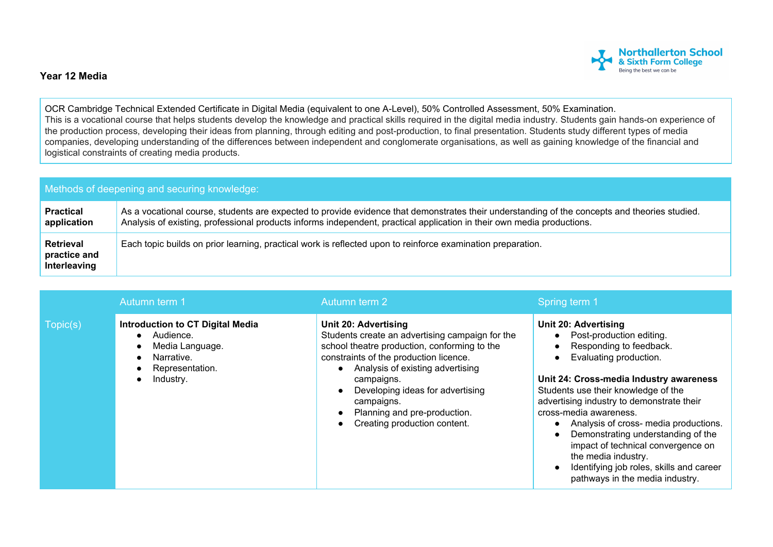

## **Year 12 Media**

OCR Cambridge Technical Extended Certificate in Digital Media (equivalent to one A-Level), 50% Controlled Assessment, 50% Examination. This is a vocational course that helps students develop the knowledge and practical skills required in the digital media industry. Students gain hands-on experience of the production process, developing their ideas from planning, through editing and post-production, to final presentation. Students study different types of media companies, developing understanding of the differences between independent and conglomerate organisations, as well as gaining knowledge of the financial and logistical constraints of creating media products.

| Methods of deepening and securing knowledge:     |                                                                                                                                                                                                                                                                         |  |  |  |
|--------------------------------------------------|-------------------------------------------------------------------------------------------------------------------------------------------------------------------------------------------------------------------------------------------------------------------------|--|--|--|
| <b>Practical</b><br>application                  | As a vocational course, students are expected to provide evidence that demonstrates their understanding of the concepts and theories studied.<br>Analysis of existing, professional products informs independent, practical application in their own media productions. |  |  |  |
| <b>Retrieval</b><br>practice and<br>Interleaving | Each topic builds on prior learning, practical work is reflected upon to reinforce examination preparation.                                                                                                                                                             |  |  |  |

|          | Autumn term 1                                                                                                         | Autumn term 2                                                                                                                                                                                                                                                                                                                         | Spring term 1                                                                                                                                                                                                                                                                                                                                                                                                                                                                                    |
|----------|-----------------------------------------------------------------------------------------------------------------------|---------------------------------------------------------------------------------------------------------------------------------------------------------------------------------------------------------------------------------------------------------------------------------------------------------------------------------------|--------------------------------------------------------------------------------------------------------------------------------------------------------------------------------------------------------------------------------------------------------------------------------------------------------------------------------------------------------------------------------------------------------------------------------------------------------------------------------------------------|
| Topic(s) | <b>Introduction to CT Digital Media</b><br>Audience.<br>Media Language.<br>Narrative.<br>Representation.<br>Industry. | Unit 20: Advertising<br>Students create an advertising campaign for the<br>school theatre production, conforming to the<br>constraints of the production licence.<br>Analysis of existing advertising<br>campaigns.<br>Developing ideas for advertising<br>campaigns.<br>Planning and pre-production.<br>Creating production content. | <b>Unit 20: Advertising</b><br>Post-production editing.<br>Responding to feedback.<br>Evaluating production.<br>Unit 24: Cross-media Industry awareness<br>Students use their knowledge of the<br>advertising industry to demonstrate their<br>cross-media awareness.<br>Analysis of cross- media productions.<br>Demonstrating understanding of the<br>impact of technical convergence on<br>the media industry.<br>Identifying job roles, skills and career<br>pathways in the media industry. |